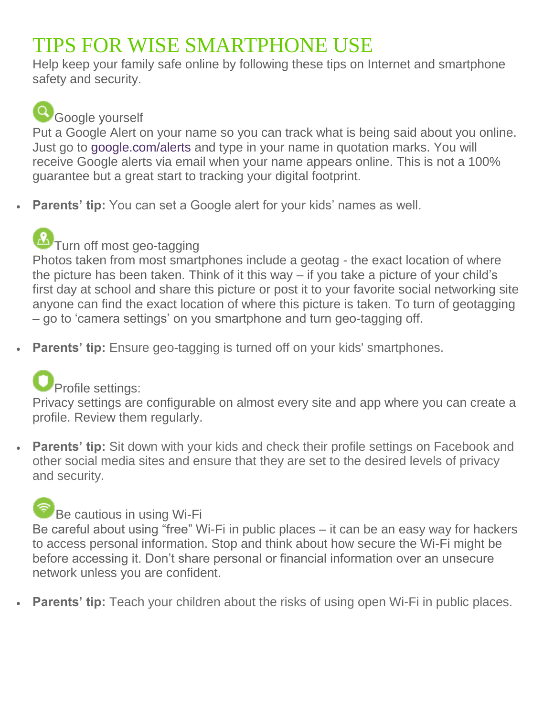## TIPS FOR WISE SMARTPHONE USE

Help keep your family safe online by following these tips on Internet and smartphone safety and security.

## **Q** Google yourself

Put a Google Alert on your name so you can track what is being said about you online. Just go to [google.com/alerts](http://google.com/alerts) and type in your name in quotation marks. You will receive Google alerts via email when your name appears online. This is not a 100% guarantee but a great start to tracking your digital footprint.

**Parents' tip:** You can set a Google alert for your kids' names as well.

# $\Omega$ Turn off most geo-tagging

Photos taken from most smartphones include a geotag - the exact location of where the picture has been taken. Think of it this way – if you take a picture of your child's first day at school and share this picture or post it to your favorite social networking site anyone can find the exact location of where this picture is taken. To turn of geotagging – go to 'camera settings' on you smartphone and turn geo-tagging off.

**Parents' tip:** Ensure geo-tagging is turned off on your kids' smartphones.

### **Profile settings:**

Privacy settings are configurable on almost every site and app where you can create a profile. Review them regularly.

 **Parents' tip:** Sit down with your kids and check their profile settings on Facebook and other social media sites and ensure that they are set to the desired levels of privacy and security.

### **Be cautious in using Wi-Fi**

Be careful about using "free" Wi-Fi in public places – it can be an easy way for hackers to access personal information. Stop and think about how secure the Wi-Fi might be before accessing it. Don't share personal or financial information over an unsecure network unless you are confident.

**Parents' tip:** Teach your children about the risks of using open Wi-Fi in public places.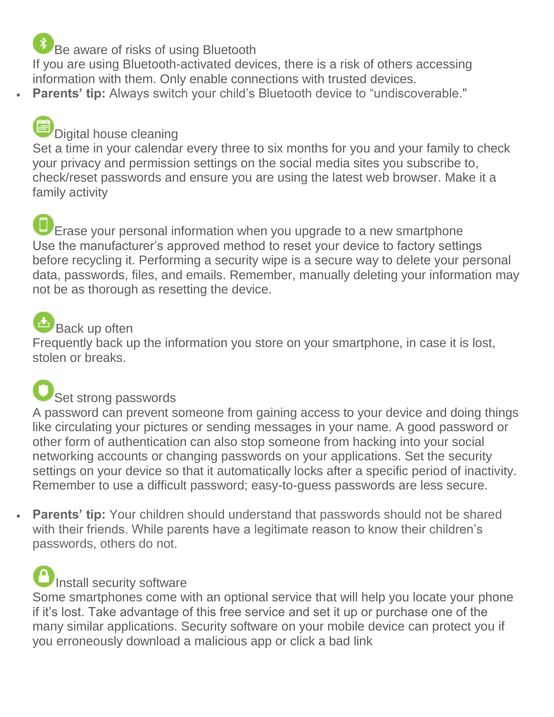#### Be aware of risks of using Bluetooth

If you are using Bluetooth-activated devices, there is a risk of others accessing information with them. Only enable connections with trusted devices. **Parents' tip:** Always switch your child's Bluetooth device to "undiscoverable."

#### Digital house cleaning

Set a time in your calendar every three to six months for you and your family to check your privacy and permission settings on the social media sites you subscribe to, check/reset passwords and ensure you are using the latest web browser. Make it a family activity

Erase your personal information when you upgrade to a new smartphone Use the manufacturer's approved method to reset your device to factory settings before recycling it. Performing a security wipe is a secure way to delete your personal data, passwords, files, and emails. Remember, manually deleting your information may not be as thorough as resetting the device.

### Back up often

Frequently back up the information you store on your smartphone, in case it is lost, stolen or breaks.

## Set strong passwords

A password can prevent someone from gaining access to your device and doing things like circulating your pictures or sending messages in your name. A good password or other form of authentication can also stop someone from hacking into your social networking accounts or changing passwords on your applications. Set the security settings on your device so that it automatically locks after a specific period of inactivity. Remember to use a difficult password; easy-to-guess passwords are less secure.

 **Parents' tip:** Your children should understand that passwords should not be shared with their friends. While parents have a legitimate reason to know their children's passwords, others do not.

### Install security software

Some smartphones come with an optional service that will help you locate your phone if it's lost. Take advantage of this free service and set it up or purchase one of the many similar applications. Security software on your mobile device can protect you if you erroneously download a malicious app or click a bad link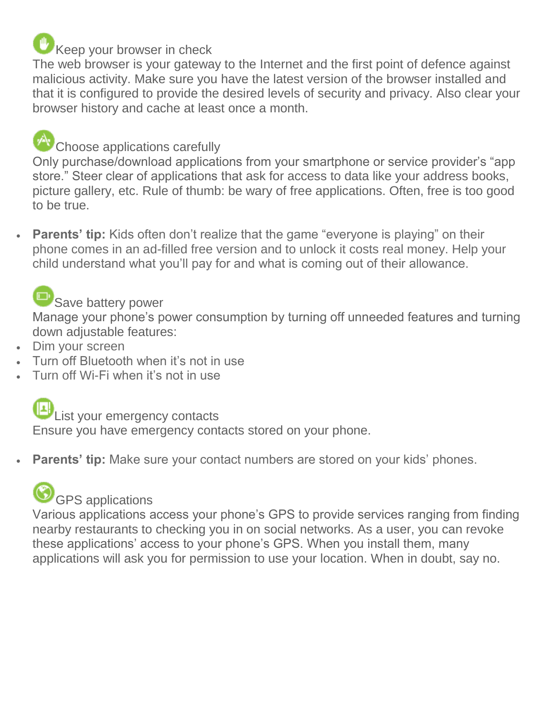### Keep your browser in check

The web browser is your gateway to the Internet and the first point of defence against malicious activity. Make sure you have the latest version of the browser installed and that it is configured to provide the desired levels of security and privacy. Also clear your browser history and cache at least once a month.

### Choose applications carefully

Only purchase/download applications from your smartphone or service provider's "app store." Steer clear of applications that ask for access to data like your address books, picture gallery, etc. Rule of thumb: be wary of free applications. Often, free is too good to be true.

**Parents' tip:** Kids often don't realize that the game "everyone is playing" on their phone comes in an ad-filled free version and to unlock it costs real money. Help your child understand what you'll pay for and what is coming out of their allowance.

#### Save battery power

Manage your phone's power consumption by turning off unneeded features and turning down adjustable features:

- Dim your screen
- Turn off Bluetooth when it's not in use
- Turn off Wi-Fi when it's not in use



#### List your emergency contacts

Ensure you have emergency contacts stored on your phone.

**Parents' tip:** Make sure your contact numbers are stored on your kids' phones.

## GPS applications

Various applications access your phone's GPS to provide services ranging from finding nearby restaurants to checking you in on social networks. As a user, you can revoke these applications' access to your phone's GPS. When you install them, many applications will ask you for permission to use your location. When in doubt, say no.